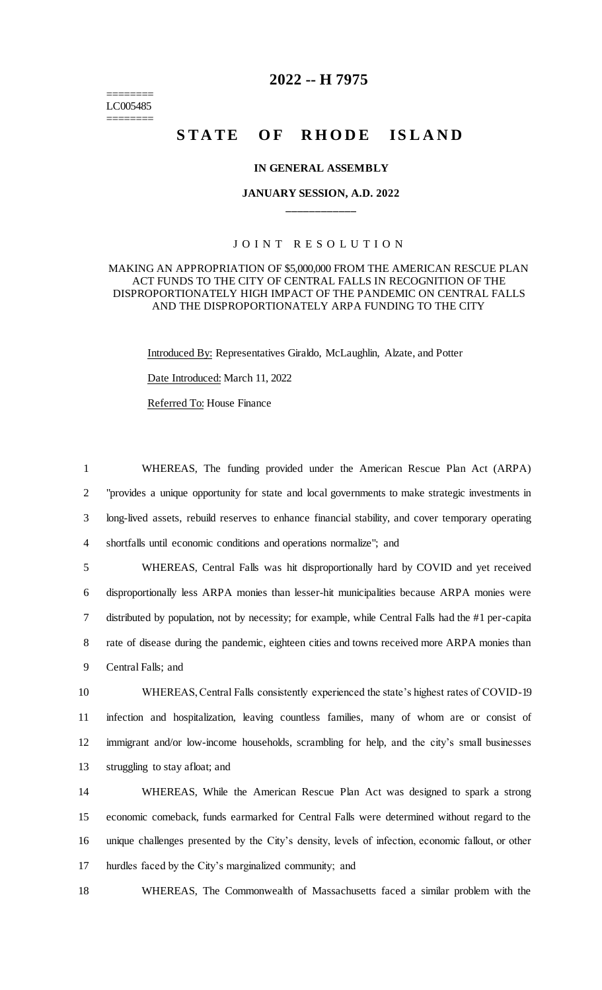======== LC005485 ========

## **2022 -- H 7975**

# STATE OF RHODE ISLAND

#### **IN GENERAL ASSEMBLY**

## **JANUARY SESSION, A.D. 2022 \_\_\_\_\_\_\_\_\_\_\_\_**

#### JOINT RESOLUTION

#### MAKING AN APPROPRIATION OF \$5,000,000 FROM THE AMERICAN RESCUE PLAN ACT FUNDS TO THE CITY OF CENTRAL FALLS IN RECOGNITION OF THE DISPROPORTIONATELY HIGH IMPACT OF THE PANDEMIC ON CENTRAL FALLS AND THE DISPROPORTIONATELY ARPA FUNDING TO THE CITY

Introduced By: Representatives Giraldo, McLaughlin, Alzate, and Potter

Date Introduced: March 11, 2022

Referred To: House Finance

 WHEREAS, The funding provided under the American Rescue Plan Act (ARPA) "provides a unique opportunity for state and local governments to make strategic investments in long-lived assets, rebuild reserves to enhance financial stability, and cover temporary operating shortfalls until economic conditions and operations normalize"; and

 WHEREAS, Central Falls was hit disproportionally hard by COVID and yet received disproportionally less ARPA monies than lesser-hit municipalities because ARPA monies were distributed by population, not by necessity; for example, while Central Falls had the #1 per-capita 8 rate of disease during the pandemic, eighteen cities and towns received more ARPA monies than Central Falls; and

 WHEREAS, Central Falls consistently experienced the state's highest rates of COVID-19 infection and hospitalization, leaving countless families, many of whom are or consist of immigrant and/or low-income households, scrambling for help, and the city's small businesses struggling to stay afloat; and

 WHEREAS, While the American Rescue Plan Act was designed to spark a strong economic comeback, funds earmarked for Central Falls were determined without regard to the unique challenges presented by the City's density, levels of infection, economic fallout, or other hurdles faced by the City's marginalized community; and

18 WHEREAS, The Commonwealth of Massachusetts faced a similar problem with the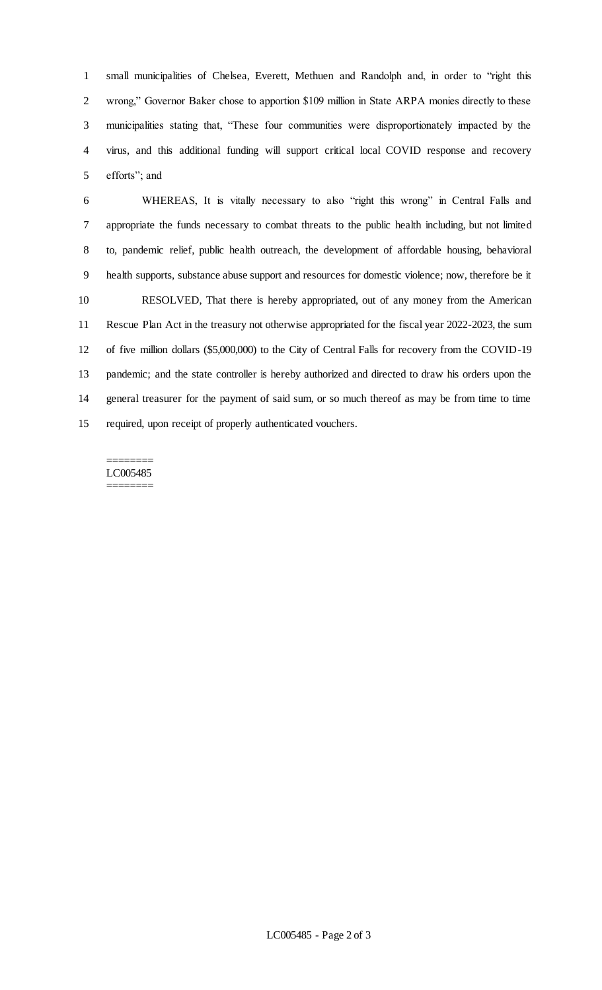small municipalities of Chelsea, Everett, Methuen and Randolph and, in order to "right this wrong," Governor Baker chose to apportion \$109 million in State ARPA monies directly to these municipalities stating that, "These four communities were disproportionately impacted by the virus, and this additional funding will support critical local COVID response and recovery efforts"; and

 WHEREAS, It is vitally necessary to also "right this wrong" in Central Falls and appropriate the funds necessary to combat threats to the public health including, but not limited to, pandemic relief, public health outreach, the development of affordable housing, behavioral health supports, substance abuse support and resources for domestic violence; now, therefore be it RESOLVED, That there is hereby appropriated, out of any money from the American Rescue Plan Act in the treasury not otherwise appropriated for the fiscal year 2022-2023, the sum of five million dollars (\$5,000,000) to the City of Central Falls for recovery from the COVID-19 pandemic; and the state controller is hereby authorized and directed to draw his orders upon the general treasurer for the payment of said sum, or so much thereof as may be from time to time required, upon receipt of properly authenticated vouchers.

#### ======== LC005485 ========